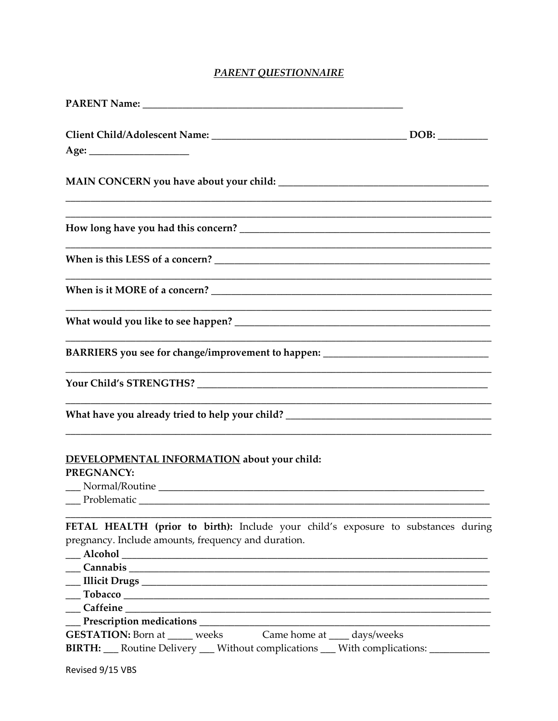## **PARENT QUESTIONNAIRE**

| BARRIERS you see for change/improvement to happen: _____________________________                                                         |  |
|------------------------------------------------------------------------------------------------------------------------------------------|--|
|                                                                                                                                          |  |
| What have you already tried to help your child? _________________________________                                                        |  |
| DEVELOPMENTAL INFORMATION about your child:<br>PREGNANCY:<br>Problematic                                                                 |  |
| FETAL HEALTH (prior to birth): Include your child's exposure to substances during<br>pregnancy. Include amounts, frequency and duration. |  |
|                                                                                                                                          |  |
|                                                                                                                                          |  |
|                                                                                                                                          |  |
|                                                                                                                                          |  |
| <b>GESTATION:</b> Born at _____ weeks Came home at ____ days/weeks                                                                       |  |
| <b>BIRTH:</b> ___ Routine Delivery ___ Without complications ___ With complications: ___________                                         |  |
| Revised 9/15 VBS                                                                                                                         |  |